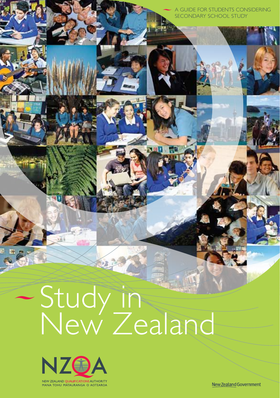A guide for students considering secondary school study

i

# Study in New Zealand



New Zealand Government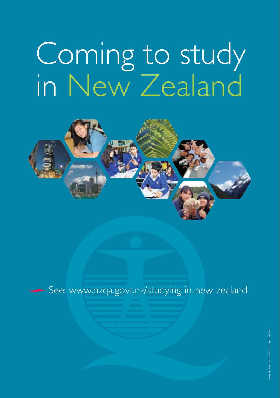# Coming to study in New Zealand



See: www.nzqa.govt.nz/studying-in-new-zealand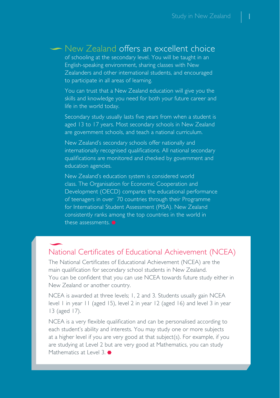## • New Zealand offers an excellent choice

of schooling at the secondary level. You will be taught in an English-speaking environment, sharing classes with New Zealanders and other international students, and encouraged to participate in all areas of learning.

You can trust that a New Zealand education will give you the skills and knowledge you need for both your future career and life in the world today.

Secondary study usually lasts five years from when a student is aged 13 to 17 years. Most secondary schools in New Zealand are government schools, and teach a national curriculum.

New Zealand's secondary schools offer nationally and internationally recognised qualifications. All national secondary qualifications are monitored and checked by government and education agencies.

New Zealand's education system is considered world class. The Organisation for Economic Cooperation and Development (OECD) compares the educational performance of teenagers in over 70 countries through their Programme for International Student Assessment (PISA). New Zealand consistently ranks among the top countries in the world in these assessments.

## National Certificates of Educational Achievement (NCEA)

The National Certificates of Educational Achievement (NCEA) are the main qualification for secondary school students in New Zealand. You can be confident that you can use NCEA towards future study either in New Zealand or another country.

NCEA is awarded at three levels; 1, 2 and 3. Students usually gain NCEA level 1 in year 11 (aged 15), level 2 in year 12 (aged 16) and level 3 in year 13 (aged 17).

NCEA is a very flexible qualification and can be personalised according to each student's ability and interests. You may study one or more subjects at a higher level if you are very good at that subject(s). For example, if you are studying at Level 2 but are very good at Mathematics, you can study Mathematics at Level 3.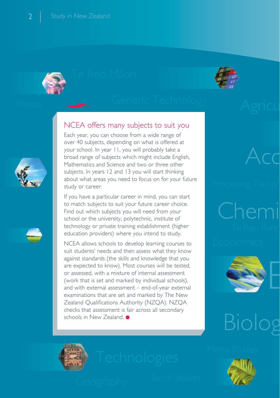





## NCEA offers many subjects to suit you

Each year, you can choose from a wide range of over 40 subjects, depending on what is offered at your school. In year 11, you will probably take a broad range of subjects which might include English, Mathematics and Science and two or three other subjects. In years 12 and 13 you will start thinking about what areas you need to focus on for your future study or career.

If you have a particular career in mind, you can start to match subjects to suit your future career choice. Find out which subjects you will need from your school or the university, polytechnic, institute of technology or private training establishment (higher education providers) where you intend to study.

NCEA allows schools to develop learning courses to suit students' needs and then assess what they know against standards (the skills and knowledge that you are expected to know). Most courses will be tested, or assessed, with a mixture of internal assessment (work that is set and marked by individual schools), and with external assessment – end-of-year external examinations that are set and marked by The New Zealand Qualifications Authority (NZQA). NZQA checks that assessment is fair across all secondary schools in New Zealand.





## Biolo

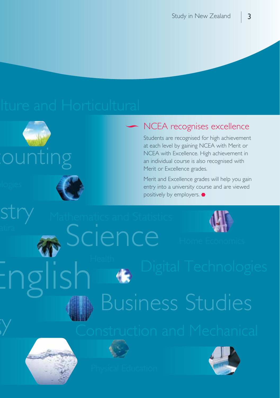# ounting

 $\overline{y}$ 



## NCEA recognises excellence

Students are recognised for high achievement at each level by gaining NCEA with Merit or NCEA with Excellence. High achievement in an individual course is also recognised with Merit or Excellence grades.

Merit and Excellence grades will help you gain entry into a university course and are viewed positively by employers.



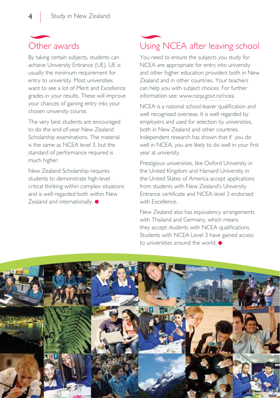

By taking certain subjects, students can achieve University Entrance (UE). UE is usually the minimum requirement for entry to university. Most universities want to see a lot of Merit and Excellence grades in your results. These will improve your chances of gaining entry into your chosen university course.

The very best students are encouraged to do the end-of-year New Zealand Scholarship examinations. The material is the same as NCEA level 3, but the standard of performance required is much higher.

New Zealand Scholarship requires students to demonstrate high-level critical thinking within complex situations and is well regarded both within New Zealand and internationally.

## Using NCEA after leaving school

You need to ensure the subjects you study for NCEA are appropriate for entry into university and other higher education providers both in New Zealand and in other countries. Your teachers can help you with subject choices. For further information see: www.nzqa.govt.nz/ncea

NCEA is a national school-leaver qualification and well recognised overseas. It is well regarded by employers and used for selection by universities, both in New Zealand and other countries. Independent research has shown that if you do well in NCEA, you are likely to do well in your first year at university.

Prestigious universities, like Oxford University in the United Kingdom and Harvard University in the United States of America accept applications from students with New Zealand's University Entrance certificate and NCEA level 3 endorsed with Excellence.

New Zealand also has equivalency arrangements with Thailand and Germany, which means they accept students with NCEA qualifications. Students with NCEA Level 3 have gained access to universities around the world.

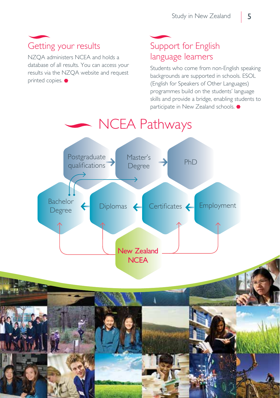## Getting your results

NZQA administers NCEA and holds a database of all results. You can access your results via the NZQA website and request printed copies.  $\bullet$ 

## Support for English language learners

Students who come from non-English speaking backgrounds are supported in schools. ESOL (English for Speakers of Other Languages) programmes build on the students' language skills and provide a bridge, enabling students to participate in New Zealand schools.  $\bullet$